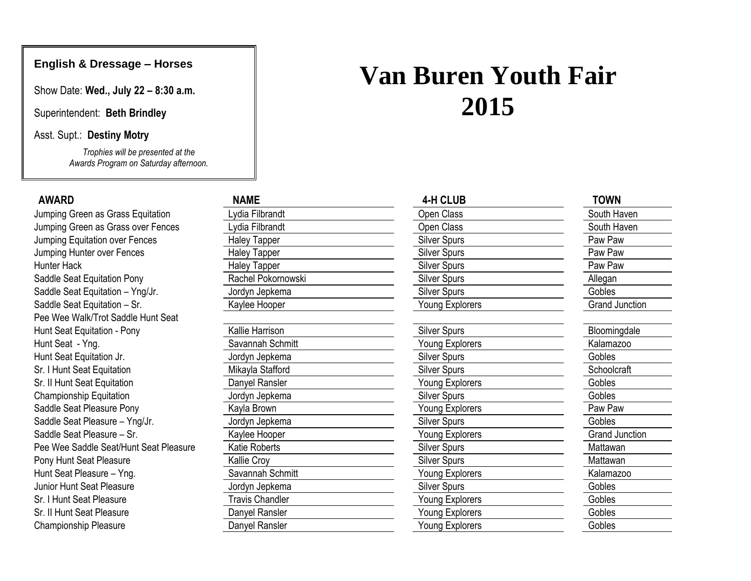# **English & Dressage – Horses**

Show Date: **Wed., July 22 – 8:30 a.m.**

Superintendent: **Beth Brindley**

Asst. Supt.: **Destiny Motry**

*Trophies will be presented at the Awards Program on Saturday afternoon.*

| <b>AWARD</b>                           | <b>NAME</b>            | <b>4-H CLUB</b>     | <b>TOWN</b>           |
|----------------------------------------|------------------------|---------------------|-----------------------|
| Jumping Green as Grass Equitation      | ydia Filbrandt         | Open Class          | South Haven           |
| Jumping Green as Grass over Fences     | Lydia Filbrandt        | Open Class          | South Haven           |
| Jumping Equitation over Fences         | <b>Haley Tapper</b>    | <b>Silver Spurs</b> | Paw Paw               |
| Jumping Hunter over Fences             | <b>Haley Tapper</b>    | <b>Silver Spurs</b> | Paw Paw               |
| <b>Hunter Hack</b>                     | <b>Haley Tapper</b>    | <b>Silver Spurs</b> | Paw Paw               |
| Saddle Seat Equitation Pony            | Rachel Pokornowski     | <b>Silver Spurs</b> | Allegan               |
| Saddle Seat Equitation - Yng/Jr.       | Jordyn Jepkema         | <b>Silver Spurs</b> | Gobles                |
| Saddle Seat Equitation - Sr.           | Kaylee Hooper          | Young Explorers     | <b>Grand Junction</b> |
| Pee Wee Walk/Trot Saddle Hunt Seat     |                        |                     |                       |
| Hunt Seat Equitation - Pony            | Kallie Harrison        | <b>Silver Spurs</b> | Bloomingdale          |
| Hunt Seat - Yng.                       | Savannah Schmitt       | Young Explorers     | Kalamazoo             |
| Hunt Seat Equitation Jr.               | Jordyn Jepkema         | <b>Silver Spurs</b> | Gobles                |
| Sr. I Hunt Seat Equitation             | Mikayla Stafford       | <b>Silver Spurs</b> | Schoolcraft           |
| Sr. Il Hunt Seat Equitation            | Danyel Ransler         | Young Explorers     | Gobles                |
| <b>Championship Equitation</b>         | Jordyn Jepkema         | <b>Silver Spurs</b> | <b>Gobles</b>         |
| Saddle Seat Pleasure Pony              | Kayla Brown            | Young Explorers     | Paw Paw               |
| Saddle Seat Pleasure - Yng/Jr.         | Jordyn Jepkema         | <b>Silver Spurs</b> | Gobles                |
| Saddle Seat Pleasure - Sr.             | Kaylee Hooper          | Young Explorers     | <b>Grand Junction</b> |
| Pee Wee Saddle Seat/Hunt Seat Pleasure | Katie Roberts          | <b>Silver Spurs</b> | Mattawan              |
| Pony Hunt Seat Pleasure                | Kallie Croy            | <b>Silver Spurs</b> | Mattawan              |
| Hunt Seat Pleasure - Yng.              | Savannah Schmitt       | Young Explorers     | Kalamazoo             |
| Junior Hunt Seat Pleasure              | Jordyn Jepkema         | <b>Silver Spurs</b> | Gobles                |
| Sr. I Hunt Seat Pleasure               | <b>Travis Chandler</b> | Young Explorers     | Gobles                |
| Sr. II Hunt Seat Pleasure              | Danyel Ransler         | Young Explorers     | Gobles                |
| Championship Pleasure                  | Danyel Ransler         | Young Explorers     | Gobles                |

# **Van Buren Youth Fair 2015**

| Open Class             |
|------------------------|
| Open Class             |
| <b>Silver Spurs</b>    |
| <b>Silver Spurs</b>    |
| <b>Silver Spurs</b>    |
| <b>Silver Spurs</b>    |
| <b>Silver Spurs</b>    |
| <b>Young Explorers</b> |